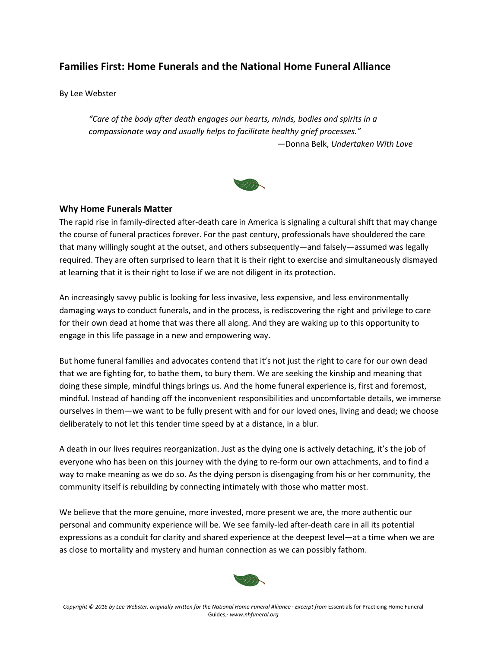# **Families First: Home Funerals and the National Home Funeral Alliance**

By Lee Webster

*"Care of the body after death engages our hearts, minds, bodies and spirits in a compassionate way and usually helps to facilitate healthy grief processes."* —Donna Belk, *Undertaken With Love*



#### **Why Home Funerals Matter**

The rapid rise in family-directed after-death care in America is signaling a cultural shift that may change the course of funeral practices forever. For the past century, professionals have shouldered the care that many willingly sought at the outset, and others subsequently—and falsely—assumed was legally required. They are often surprised to learn that it is their right to exercise and simultaneously dismayed at learning that it is their right to lose if we are not diligent in its protection.

An increasingly savvy public is looking for less invasive, less expensive, and less environmentally damaging ways to conduct funerals, and in the process, is rediscovering the right and privilege to care for their own dead at home that was there all along. And they are waking up to this opportunity to engage in this life passage in a new and empowering way.

But home funeral families and advocates contend that it's not just the right to care for our own dead that we are fighting for, to bathe them, to bury them. We are seeking the kinship and meaning that doing these simple, mindful things brings us. And the home funeral experience is, first and foremost, mindful. Instead of handing off the inconvenient responsibilities and uncomfortable details, we immerse ourselves in them—we want to be fully present with and for our loved ones, living and dead; we choose deliberately to not let this tender time speed by at a distance, in a blur.

A death in our lives requires reorganization. Just as the dying one is actively detaching, it's the job of everyone who has been on this journey with the dying to re-form our own attachments, and to find a way to make meaning as we do so. As the dying person is disengaging from his or her community, the community itself is rebuilding by connecting intimately with those who matter most.

We believe that the more genuine, more invested, more present we are, the more authentic our personal and community experience will be. We see family-led after-death care in all its potential expressions as a conduit for clarity and shared experience at the deepest level—at a time when we are as close to mortality and mystery and human connection as we can possibly fathom.

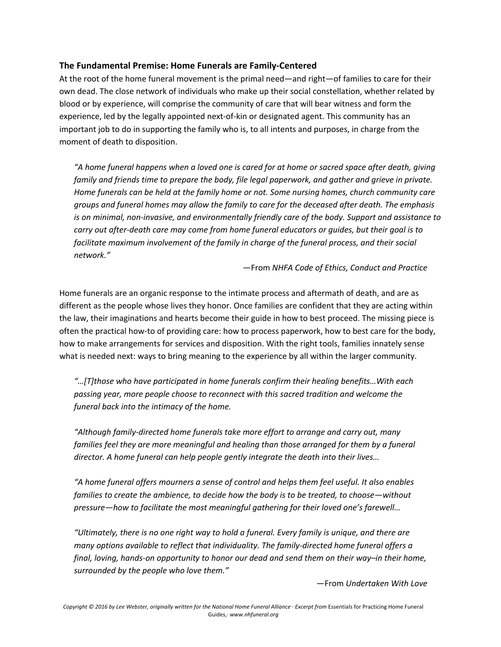### **The Fundamental Premise: Home Funerals are Family-Centered**

At the root of the home funeral movement is the primal need—and right—of families to care for their own dead. The close network of individuals who make up their social constellation, whether related by blood or by experience, will comprise the community of care that will bear witness and form the experience, led by the legally appointed next-of-kin or designated agent. This community has an important job to do in supporting the family who is, to all intents and purposes, in charge from the moment of death to disposition.

*"A home funeral happens when a loved one is cared for at home or sacred space after death, giving family and friends time to prepare the body, file legal paperwork, and gather and grieve in private. Home funerals can be held at the family home or not. Some nursing homes, church community care groups and funeral homes may allow the family to care for the deceased after death. The emphasis is on minimal, non-invasive, and environmentally friendly care of the body. Support and assistance to carry out after-death care may come from home funeral educators or guides, but their goal is to*  facilitate maximum involvement of the family in charge of the funeral process, and their social *network."*

—From *NHFA Code of Ethics, Conduct and Practice*

Home funerals are an organic response to the intimate process and aftermath of death, and are as different as the people whose lives they honor. Once families are confident that they are acting within the law, their imaginations and hearts become their guide in how to best proceed. The missing piece is often the practical how-to of providing care: how to process paperwork, how to best care for the body, how to make arrangements for services and disposition. With the right tools, families innately sense what is needed next: ways to bring meaning to the experience by all within the larger community.

*"…[T]those who have participated in home funerals confirm their healing benefits…With each passing year, more people choose to reconnect with this sacred tradition and welcome the funeral back into the intimacy of the home.*

*"Although family-directed home funerals take more effort to arrange and carry out, many*  families feel they are more meaningful and healing than those arranged for them by a funeral *director. A home funeral can help people gently integrate the death into their lives…*

*"A home funeral offers mourners a sense of control and helps them feel useful. It also enables families to create the ambience, to decide how the body is to be treated, to choose—without pressure—how to facilitate the most meaningful gathering for their loved one's farewell…*

*"Ultimately, there is no one right way to hold a funeral. Every family is unique, and there are many options available to reflect that individuality. The family-directed home funeral offers a final, loving, hands-on opportunity to honor our dead and send them on their way–in their home, surrounded by the people who love them."*

—From *Undertaken With Love*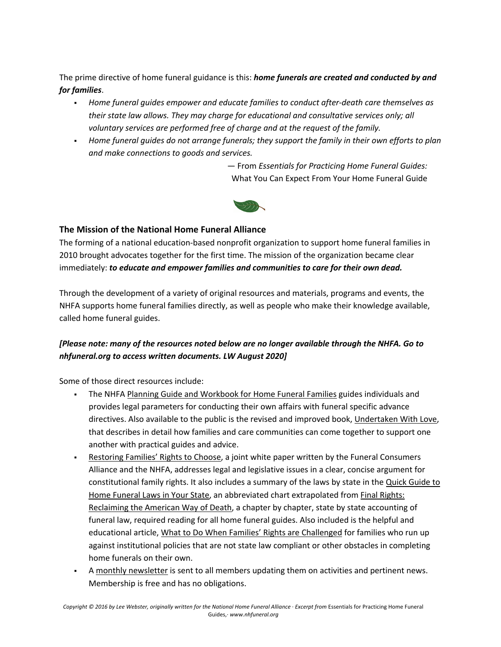The prime directive of home funeral guidance is this: *home funerals are created and conducted by and for families*.

- § *Home funeral guides empower and educate families to conduct after-death care themselves as their state law allows. They may charge for educational and consultative services only; all voluntary services are performed free of charge and at the request of the family.*
- § *Home funeral guides do not arrange funerals; they support the family in their own efforts to plan and make connections to goods and services.*

— From *Essentials for Practicing Home Funeral Guides:* What You Can Expect From Your Home Funeral Guide



### **The Mission of the National Home Funeral Alliance**

The forming of a national education-based nonprofit organization to support home funeral families in 2010 brought advocates together for the first time. The mission of the organization became clear immediately: *to educate and empower families and communities to care for their own dead.*

Through the development of a variety of original resources and materials, programs and events, the NHFA supports home funeral families directly, as well as people who make their knowledge available, called home funeral guides.

# *[Please note: many of the resources noted below are no longer available through the NHFA. Go to nhfuneral.org to access written documents. LW August 2020]*

Some of those direct resources include:

- § The NHFA Planning Guide and Workbook for Home Funeral Families guides individuals and provides legal parameters for conducting their own affairs with funeral specific advance directives. Also available to the public is the revised and improved book, Undertaken With Love, that describes in detail how families and care communities can come together to support one another with practical guides and advice.
- **Restoring Families' Rights to Choose, a joint white paper written by the Funeral Consumers** Alliance and the NHFA, addresses legal and legislative issues in a clear, concise argument for constitutional family rights. It also includes a summary of the laws by state in the Quick Guide to Home Funeral Laws in Your State, an abbreviated chart extrapolated from Final Rights: Reclaiming the American Way of Death, a chapter by chapter, state by state accounting of funeral law, required reading for all home funeral guides. Also included is the helpful and educational article, What to Do When Families' Rights are Challenged for families who run up against institutional policies that are not state law compliant or other obstacles in completing home funerals on their own.
- A monthly newsletter is sent to all members updating them on activities and pertinent news. Membership is free and has no obligations.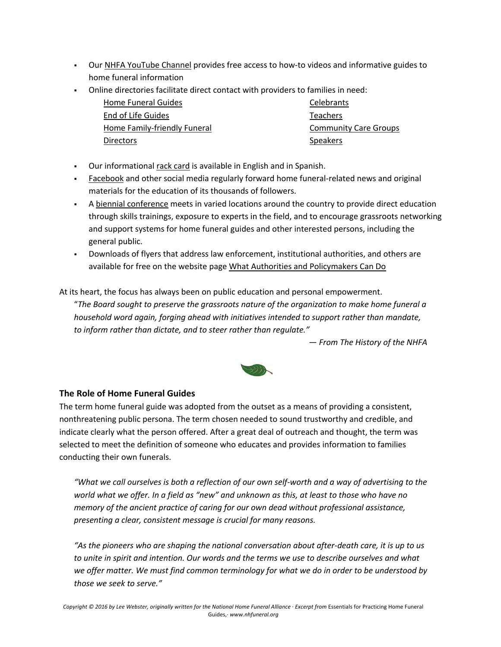- Our NHFA YouTube Channel provides free access to how-to videos and informative guides to home funeral information
- § Online directories facilitate direct contact with providers to families in need:

| Home Funeral Guides          | <b>Celebrants</b>            |
|------------------------------|------------------------------|
| End of Life Guides           | <b>Teachers</b>              |
| Home Family-friendly Funeral | <b>Community Care Groups</b> |
| <b>Directors</b>             | <b>Speakers</b>              |

- Our informational rack card is available in English and in Spanish.
- Facebook and other social media regularly forward home funeral-related news and original materials for the education of its thousands of followers.
- § A biennial conference meets in varied locations around the country to provide direct education through skills trainings, exposure to experts in the field, and to encourage grassroots networking and support systems for home funeral guides and other interested persons, including the general public.
- § Downloads of flyers that address law enforcement, institutional authorities, and others are available for free on the website page What Authorities and Policymakers Can Do

At its heart, the focus has always been on public education and personal empowerment.

"*The Board sought to preserve the grassroots nature of the organization to make home funeral a household word again, forging ahead with initiatives intended to support rather than mandate, to inform rather than dictate, and to steer rather than regulate."*

*— From The History of the NHFA*



### **The Role of Home Funeral Guides**

The term home funeral guide was adopted from the outset as a means of providing a consistent, nonthreatening public persona. The term chosen needed to sound trustworthy and credible, and indicate clearly what the person offered. After a great deal of outreach and thought, the term was selected to meet the definition of someone who educates and provides information to families conducting their own funerals.

*"What we call ourselves is both a reflection of our own self-worth and a way of advertising to the world what we offer. In a field as "new" and unknown as this, at least to those who have no memory of the ancient practice of caring for our own dead without professional assistance, presenting a clear, consistent message is crucial for many reasons.*

*"As the pioneers who are shaping the national conversation about after-death care, it is up to us to unite in spirit and intention. Our words and the terms we use to describe ourselves and what we offer matter. We must find common terminology for what we do in order to be understood by those we seek to serve."*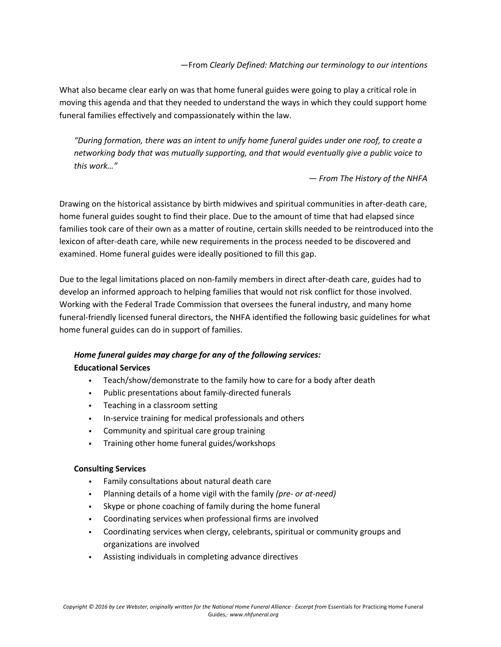What also became clear early on was that home funeral guides were going to play a critical role in moving this agenda and that they needed to understand the ways in which they could support home funeral families effectively and compassionately within the law.

*"During formation, there was an intent to unify home funeral guides under one roof, to create a networking body that was mutually supporting, and that would eventually give a public voice to this work…"*

*— From The History of the NHFA*

Drawing on the historical assistance by birth midwives and spiritual communities in after-death care, home funeral guides sought to find their place. Due to the amount of time that had elapsed since families took care of their own as a matter of routine, certain skills needed to be reintroduced into the lexicon of after-death care, while new requirements in the process needed to be discovered and examined. Home funeral guides were ideally positioned to fill this gap.

Due to the legal limitations placed on non-family members in direct after-death care, guides had to develop an informed approach to helping families that would not risk conflict for those involved. Working with the Federal Trade Commission that oversees the funeral industry, and many home funeral-friendly licensed funeral directors, the NHFA identified the following basic guidelines for what home funeral guides can do in support of families.

# *Home funeral guides may charge for any of the following services:* **Educational Services**

- § Teach/show/demonstrate to the family how to care for a body after death
- § Public presentations about family-directed funerals
- § Teaching in a classroom setting
- § In-service training for medical professionals and others
- § Community and spiritual care group training
- § Training other home funeral guides/workshops

#### **Consulting Services**

- § Family consultations about natural death care
- § Planning details of a home vigil with the family *(pre- or at-need)*
- Skype or phone coaching of family during the home funeral
- § Coordinating services when professional firms are involved
- § Coordinating services when clergy, celebrants, spiritual or community groups and organizations are involved
- § Assisting individuals in completing advance directives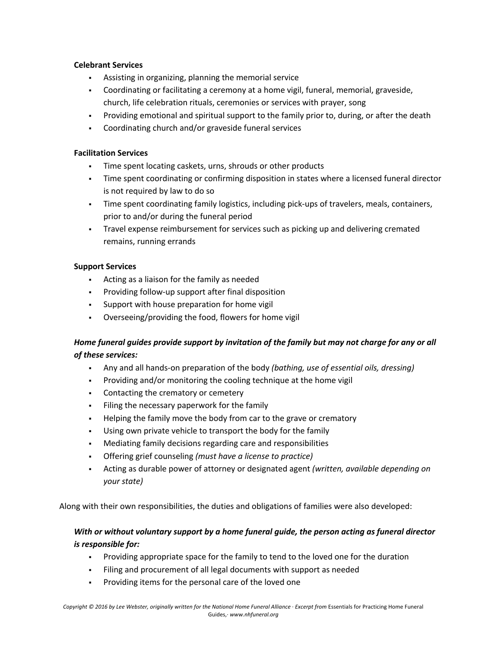#### **Celebrant Services**

- § Assisting in organizing, planning the memorial service
- § Coordinating or facilitating a ceremony at a home vigil, funeral, memorial, graveside, church, life celebration rituals, ceremonies or services with prayer, song
- Providing emotional and spiritual support to the family prior to, during, or after the death
- § Coordinating church and/or graveside funeral services

#### **Facilitation Services**

- § Time spent locating caskets, urns, shrouds or other products
- Time spent coordinating or confirming disposition in states where a licensed funeral director is not required by law to do so
- Time spent coordinating family logistics, including pick-ups of travelers, meals, containers, prior to and/or during the funeral period
- § Travel expense reimbursement for services such as picking up and delivering cremated remains, running errands

#### **Support Services**

- § Acting as a liaison for the family as needed
- Providing follow-up support after final disposition
- § Support with house preparation for home vigil
- § Overseeing/providing the food, flowers for home vigil

## *Home funeral guides provide support by invitation of the family but may not charge for any or all of these services:*

- § Any and all hands-on preparation of the body *(bathing, use of essential oils, dressing)*
- Providing and/or monitoring the cooling technique at the home vigil
- § Contacting the crematory or cemetery
- Filing the necessary paperwork for the family
- Helping the family move the body from car to the grave or crematory
- § Using own private vehicle to transport the body for the family
- § Mediating family decisions regarding care and responsibilities
- § Offering grief counseling *(must have a license to practice)*
- § Acting as durable power of attorney or designated agent *(written, available depending on your state)*

Along with their own responsibilities, the duties and obligations of families were also developed:

## *With or without voluntary support by a home funeral guide, the person acting as funeral director is responsible for:*

- § Providing appropriate space for the family to tend to the loved one for the duration
- § Filing and procurement of all legal documents with support as needed
- Providing items for the personal care of the loved one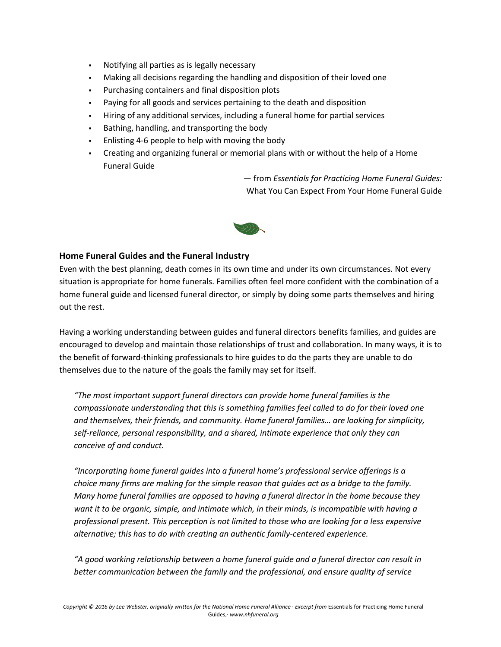- § Notifying all parties as is legally necessary
- § Making all decisions regarding the handling and disposition of their loved one
- Purchasing containers and final disposition plots
- § Paying for all goods and services pertaining to the death and disposition
- § Hiring of any additional services, including a funeral home for partial services
- § Bathing, handling, and transporting the body
- Enlisting 4-6 people to help with moving the body
- § Creating and organizing funeral or memorial plans with or without the help of a Home Funeral Guide

— from *Essentials for Practicing Home Funeral Guides:* What You Can Expect From Your Home Funeral Guide



#### **Home Funeral Guides and the Funeral Industry**

Even with the best planning, death comes in its own time and under its own circumstances. Not every situation is appropriate for home funerals. Families often feel more confident with the combination of a home funeral guide and licensed funeral director, or simply by doing some parts themselves and hiring out the rest.

Having a working understanding between guides and funeral directors benefits families, and guides are encouraged to develop and maintain those relationships of trust and collaboration. In many ways, it is to the benefit of forward-thinking professionals to hire guides to do the parts they are unable to do themselves due to the nature of the goals the family may set for itself.

*"The most important support funeral directors can provide home funeral families is the compassionate understanding that this is something families feel called to do for their loved one and themselves, their friends, and community. Home funeral families… are looking for simplicity, self-reliance, personal responsibility, and a shared, intimate experience that only they can conceive of and conduct.*

*"Incorporating home funeral guides into a funeral home's professional service offerings is a choice many firms are making for the simple reason that guides act as a bridge to the family. Many home funeral families are opposed to having a funeral director in the home because they want it to be organic, simple, and intimate which, in their minds, is incompatible with having a professional present. This perception is not limited to those who are looking for a less expensive alternative; this has to do with creating an authentic family-centered experience.*

*"A good working relationship between a home funeral guide and a funeral director can result in better communication between the family and the professional, and ensure quality of service*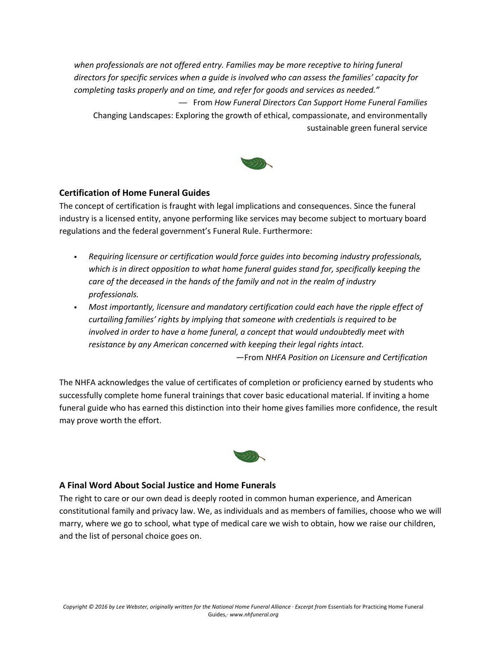*when professionals are not offered entry. Families may be more receptive to hiring funeral directors for specific services when a guide is involved who can assess the families' capacity for completing tasks properly and on time, and refer for goods and services as needed."* — From *How Funeral Directors Can Support Home Funeral Families* Changing Landscapes: Exploring the growth of ethical, compassionate, and environmentally

### **Certification of Home Funeral Guides**

The concept of certification is fraught with legal implications and consequences. Since the funeral industry is a licensed entity, anyone performing like services may become subject to mortuary board regulations and the federal government's Funeral Rule. Furthermore:

- § *Requiring licensure or certification would force guides into becoming industry professionals, which is in direct opposition to what home funeral guides stand for, specifically keeping the care of the deceased in the hands of the family and not in the realm of industry professionals.*
- § *Most importantly, licensure and mandatory certification could each have the ripple effect of curtailing families' rights by implying that someone with credentials is required to be involved in order to have a home funeral, a concept that would undoubtedly meet with resistance by any American concerned with keeping their legal rights intact.*

—From *NHFA Position on Licensure and Certification*

sustainable green funeral service

The NHFA acknowledges the value of certificates of completion or proficiency earned by students who successfully complete home funeral trainings that cover basic educational material. If inviting a home funeral guide who has earned this distinction into their home gives families more confidence, the result may prove worth the effort.



#### **A Final Word About Social Justice and Home Funerals**

The right to care or our own dead is deeply rooted in common human experience, and American constitutional family and privacy law. We, as individuals and as members of families, choose who we will marry, where we go to school, what type of medical care we wish to obtain, how we raise our children, and the list of personal choice goes on.